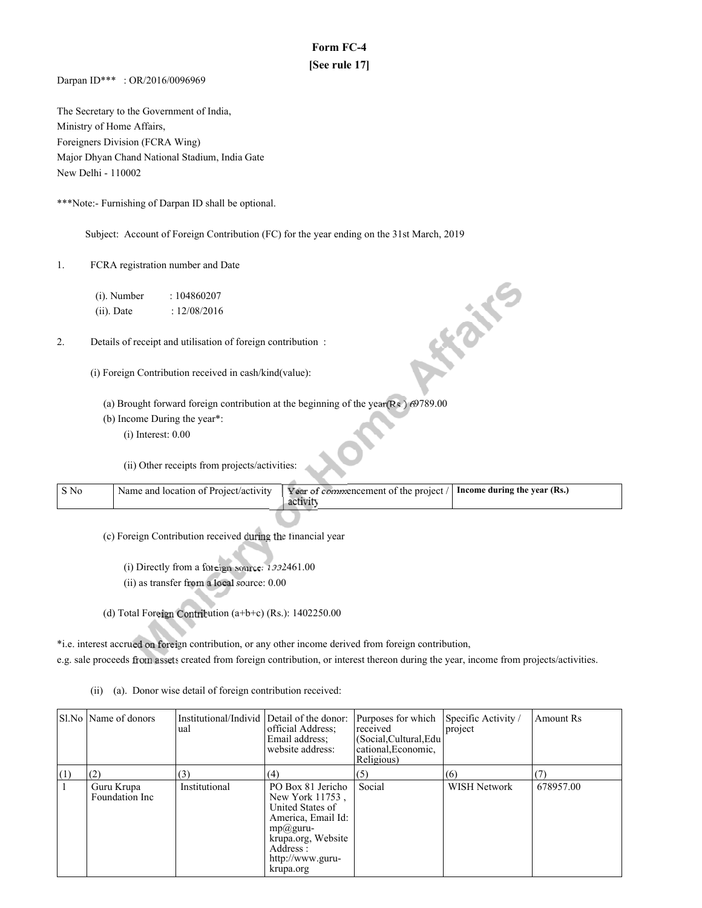# **Form FC-4 [See rule 17]**

Darpan ID\*\*\* : OR/2016/0096969

The Secretary to the Government of India, Ministry of Home Affairs, Foreigners Division (FCRA Wing) Major Dhyan Chand National Stadium, India Gate New Delhi - 110002

\*\*\*Note:- Furnishing of Darpan ID shall be optional.

Subject: Account of Foreign Contribution (FC) for the year ending on the 31st March, 2019

- 1. FCRA registration number and Date
	- (i). Number : 104860207 (ii). Date : 12/08/2016
- 2. Details of receipt and utilisation of foreign contribution :
	- (i) Foreign Contribution received in cash/kind(value):
		- (a) Brought forward foreign contribution at the beginning of the year  $(Rs.)$  69789.00
		- (b) Income During the year\*:
			- (i) Interest: 0.00

(ii) Other receipts from projects/activities:

| S No | Name and location of Project/activity | Year of commencement of the project $/$ Income during the year (Rs.) |  |
|------|---------------------------------------|----------------------------------------------------------------------|--|
|      |                                       |                                                                      |  |

**Hails** 

(c) Foreign Contribution received during the financial year

- (i) Directly from a foreign source:  $1332461.00$
- $(ii)$  as transfer from a local source:  $0.00$
- (d) Total Foreign Contribution  $(a+b+c)$  (Rs.): 1402250.00

\*i.e. interest accrued on foreign contribution, or any other income derived from foreign contribution,

e.g. sale proceeds from assets created from foreign contribution, or interest thereon during the year, income from projects/activities.

(ii) (a). Donor wise detail of foreign contribution received:

|     | Sl.No   Name of donors                                             | Institutional/Individ Detail of the donor:<br>ual | official Address;<br>Email address;<br>website address:                                                                                                         | Purposes for which<br>received<br>(Social, Cultural, Edu<br>cational, Economic,<br>Religious) | Specific Activity /<br>project | Amount Rs        |
|-----|--------------------------------------------------------------------|---------------------------------------------------|-----------------------------------------------------------------------------------------------------------------------------------------------------------------|-----------------------------------------------------------------------------------------------|--------------------------------|------------------|
| (1) | (2)<br>(3)<br>(4)<br>Institutional<br>Guru Krupa<br>Foundation Inc |                                                   | PO Box 81 Jericho<br>New York 11753,<br>United States of<br>America, Email Id:<br>$mp@guru-$<br>krupa.org, Website<br>Address:<br>http://www.guru-<br>krupa.org | (5)<br>Social                                                                                 | (6)<br>WISH Network            | (7)<br>678957.00 |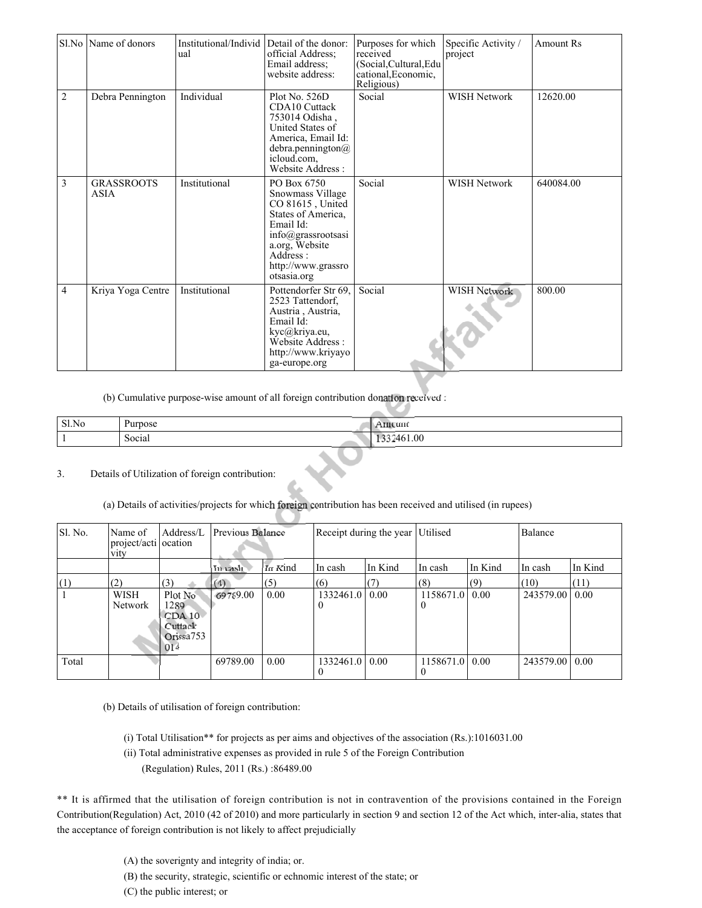|                | Sl.No Name of donors             | Institutional/Individ Detail of the donor:<br>ual | official Address;<br>Email address:<br>website address:                                                                                                                                         | Purposes for which<br>received<br>(Social, Cultural, Edu<br>cational, Economic,<br>Religious) | Specific Activity /<br>project | <b>Amount Rs</b> |
|----------------|----------------------------------|---------------------------------------------------|-------------------------------------------------------------------------------------------------------------------------------------------------------------------------------------------------|-----------------------------------------------------------------------------------------------|--------------------------------|------------------|
| $\overline{2}$ | Debra Pennington                 | Individual                                        | Plot No. $526D$<br><b>CDA10</b> Cuttack<br>753014 Odisha.<br>United States of<br>America, Email Id:<br>debra.pennington@<br>icloud.com.<br>Website Address:                                     | Social                                                                                        | <b>WISH Network</b>            | 12620.00         |
| 3              | <b>GRASSROOTS</b><br><b>ASIA</b> | Institutional                                     | PO Box 6750<br>Snowmass Village<br>CO 81615, United<br>States of America,<br>Email Id:<br>$info(\hat{\omega})$ grassrootsasi<br>a.org, Website<br>Address:<br>http://www.grassro<br>otsasia.org | Social                                                                                        | <b>WISH Network</b>            | 640084.00        |
| 4              | Kriya Yoga Centre                | Institutional                                     | Pottendorfer Str 69,<br>2523 Tattendorf,<br>Austria, Austria,<br>Email Id:<br>kyc@kriya.eu,<br>Website Address:<br>http://www.kriyayo<br>ga-europe.org                                          | Social                                                                                        | WISH Network                   | 800.00           |

(b) Cumulative purpose-wise amount of all foreign contribution donation received :

| Sl.No | hirnosa<br>טשי | um  |
|-------|----------------|-----|
|       | Social         | .00 |

## 3. Details of Utilization of foreign contribution:

(a) Details of activities/projects for which foreign contribution has been received and utilised (in rupees)

| Sl. No. | Name of<br>project/acti ocation<br><b>vity</b> | Address/L                                                           | Previous Balance |         | Receipt during the year Utilised |         |                              |         | Balance          |         |
|---------|------------------------------------------------|---------------------------------------------------------------------|------------------|---------|----------------------------------|---------|------------------------------|---------|------------------|---------|
|         |                                                |                                                                     | In cash          | In Kind | ∣In cash                         | In Kind | In cash                      | In Kind | In cash          | In Kind |
| (1)     | (2)                                            | (3)                                                                 | (4)              | (5)     | (6)                              | (7)     | (8)                          | (9)     | (10)             | (11)    |
|         | WISH<br>Network                                | Plot No<br>1289<br>CDA10<br>Cuttack<br>Orissa <sup>753</sup><br>014 | 69789.00         | 0.00    | 1332461.0<br>O                   | 0.00    | 1158671.0 0.00<br>$\theta$   |         | 243579.00        | 0.00    |
| Total   |                                                |                                                                     | 69789.00         | 0.00    | 1332461.0   0.00                 |         | 1158671.0   0.00<br>$\theta$ |         | 243579.00   0.00 |         |

(b) Details of utilisation of foreign contribution:

- (i) Total Utilisation\*\* for projects as per aims and objectives of the association (Rs.):1016031.00
- (ii) Total administrative expenses as provided in rule 5 of the Foreign Contribution
	- (Regulation) Rules, 2011 (Rs.) :86489.00

\*\* It is affirmed that the utilisation of foreign contribution is not in contravention of the provisions contained in the Foreign Contribution(Regulation) Act, 2010 (42 of 2010) and more particularly in section 9 and section 12 of the Act which, inter-alia, states that the acceptance of foreign contribution is not likely to affect prejudicially

- (A) the soverignty and integrity of india; or.
- (B) the security, strategic, scientific or echnomic interest of the state; or
- (C) the public interest; or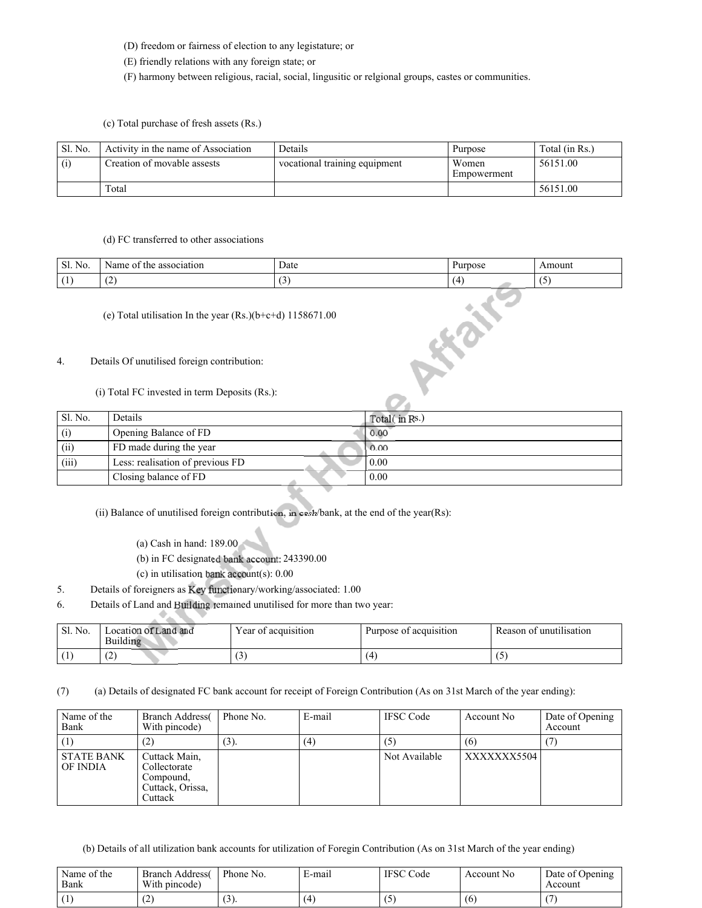- (D) freedom or fairness of election to any legistature; or
- (E) friendly relations with any foreign state; or
- (F) harmony between religious, racial, social, lingusitic or relgional groups, castes or communities.
- (c) Total purchase of fresh assets (Rs.)

| Sl. No. | Activity in the name of Association | Details                       | Purpose              | Total (in Rs.) |
|---------|-------------------------------------|-------------------------------|----------------------|----------------|
| (i)     | Creation of movable assests         | vocational training equipment | Women<br>Empowerment | 56151.00       |
|         | Total                               |                               |                      | 56151.00       |

#### (d) FC transferred to other associations

| Sl. No. | Name<br>association<br>the<br>` OI | Date                          | irpose<br>'uι | Amoun |
|---------|------------------------------------|-------------------------------|---------------|-------|
|         | $\overline{\phantom{a}}$<br>$\sim$ | $\overline{\phantom{a}}$<br>- | I Д           | . .   |

AFRICATE

(e) Total utilisation In the year (Rs.)(b+c+d) 1158671.00

### 4. Details Of unutilised foreign contribution:

(i) Total FC invested in term Deposits (Rs.):

| Sl. No. | Details                          | Total(in Rs.)     |
|---------|----------------------------------|-------------------|
| (i)     | Opening Balance of FD            | 0.00              |
| (ii)    | FD made during the year          | 0.00              |
| (iii)   | Less: realisation of previous FD | $\overline{0.00}$ |
|         | Closing balance of FD            | 0.00              |

(ii) Balance of unutilised foreign contribution, in cash/bank, at the end of the year(Rs):

(a) Cash in hand: 189.00

(b) in FC designated bank account:  $243390.00$ 

- (c) in utilisation bank account(s):  $0.00$
- 5. Details of foreigners as Key functionary/working/associated:  $1.00$
- 6. Details of Land and Building remained unutilised for more than two year:

| Sl. No. | Location of Land and<br>Building | $\mathbf{r}$<br>Year of acquisition   | Purpose of acquisition | Reason of unutilisation |
|---------|----------------------------------|---------------------------------------|------------------------|-------------------------|
|         | $\sqrt{2}$<br>∼                  | $\lambda$<br>$\overline{\phantom{0}}$ |                        |                         |

(7) (a) Details of designated FC bank account for receipt of Foreign Contribution (As on 31st March of the year ending):

| Name of the<br>Bank           | <b>Branch Address</b><br>With pincode)                                    | Phone No. | E-mail | <b>IFSC</b> Code | Account No  | Date of Opening<br>Account |
|-------------------------------|---------------------------------------------------------------------------|-----------|--------|------------------|-------------|----------------------------|
| (1)                           | (2)                                                                       | $(3)$ .   | (4)    | (5)              | (6)         |                            |
| <b>STATE BANK</b><br>OF INDIA | Cuttack Main.<br>Collectorate<br>Compound.<br>Cuttack, Orissa,<br>Cuttack |           |        | Not Available    | XXXXXXX5504 |                            |

(b) Details of all utilization bank accounts for utilization of Foregin Contribution (As on 31st March of the year ending)

| Name of the<br>Bank | <b>Branch Address</b><br>With pincode) | Phone No.              | E-mail         | <b>IFSC</b> Code | Account No. | Date of Opening<br>Account |
|---------------------|----------------------------------------|------------------------|----------------|------------------|-------------|----------------------------|
|                     | . .                                    | $\sim$<br>. <i>. .</i> | $\overline{A}$ | ັ                | (6)         |                            |